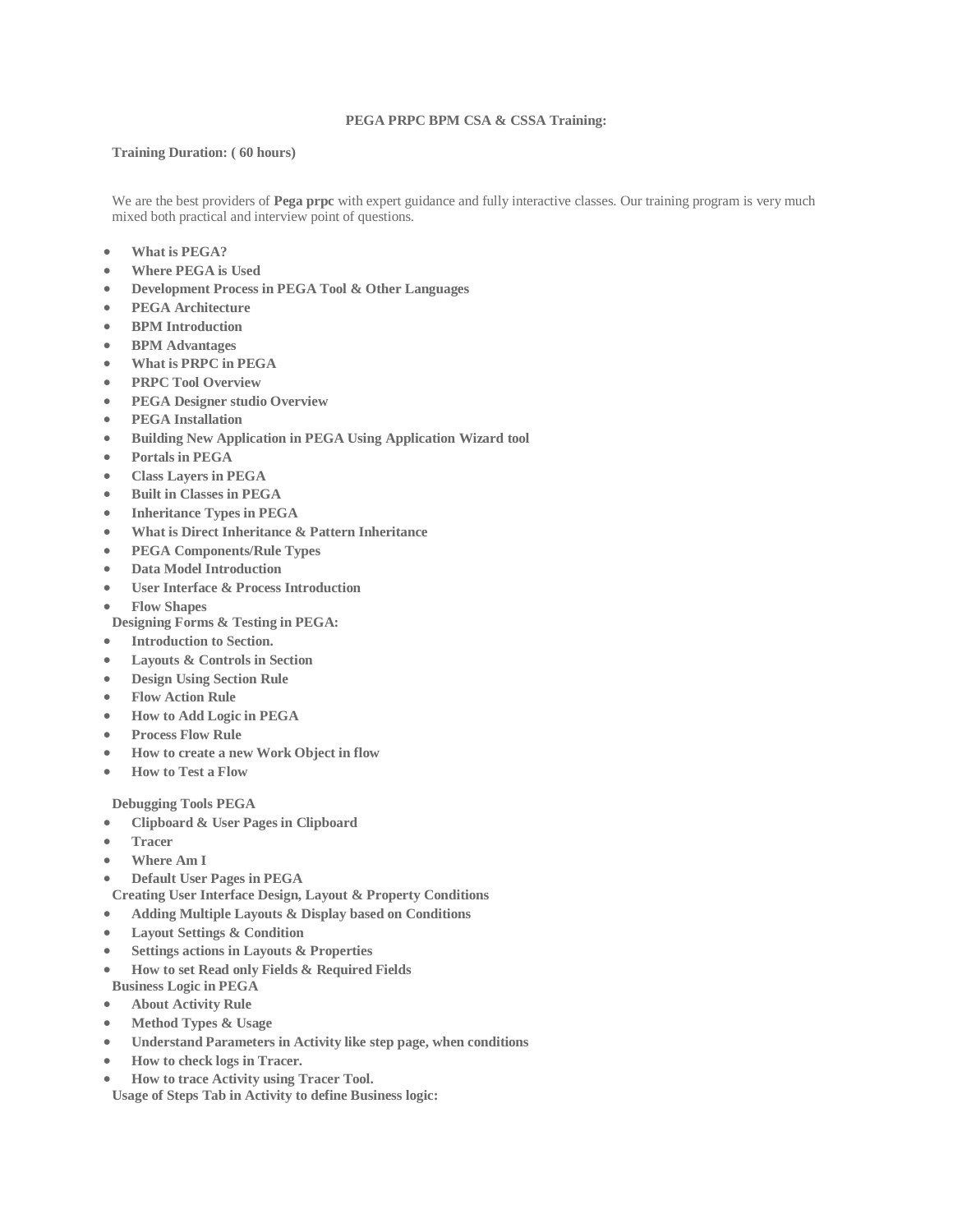#### **PEGA PRPC BPM CSA & CSSA Training:**

#### **Training Duration: ( 60 hours)**

We are the best providers of **Pega prpc** with expert guidance and fully interactive classes. Our training program is very much mixed both practical and interview point of questions.

- **What is PEGA?**
- **Where PEGA is Used**
- **Development Process in PEGA Tool & Other Languages**
- **PEGA Architecture**
- **BPM Introduction**
- **BPM Advantages**
- **What is PRPC in PEGA**
- **PRPC Tool Overview**
- **PEGA Designer studio Overview**
- **PEGA Installation**
- **Building New Application in PEGA Using Application Wizard tool**
- **Portals in PEGA**
- **Class Layers in PEGA**
- **Built in Classes in PEGA**
- **Inheritance Types in PEGA**
- **What is Direct Inheritance & Pattern Inheritance**
- **PEGA Components/Rule Types**
- **Data Model Introduction**
- **User Interface & Process Introduction**
- **Flow Shapes**

**Designing Forms & Testing in PEGA:**

- **Introduction to Section.**
- **Layouts & Controls in Section**
- **Design Using Section Rule**
- **Flow Action Rule**
- **How to Add Logic in PEGA**
- **Process Flow Rule**
- **How to create a new Work Object in flow**
- **How to Test a Flow**

## **Debugging Tools PEGA**

- **Clipboard & User Pages in Clipboard**
- **Tracer**
- **Where Am I**
- **Default User Pages in PEGA**
- **Creating User Interface Design, Layout & Property Conditions**
- **Adding Multiple Layouts & Display based on Conditions**
- **Layout Settings & Condition**
- **Settings actions in Layouts & Properties**
- **How to set Read only Fields & Required Fields**
- **Business Logic in PEGA About Activity Rule**
- **Method Types & Usage**
- **Understand Parameters in Activity like step page, when conditions**
- **How to check logs in Tracer.**
- **How to trace Activity using Tracer Tool.**

**Usage of Steps Tab in Activity to define Business logic:**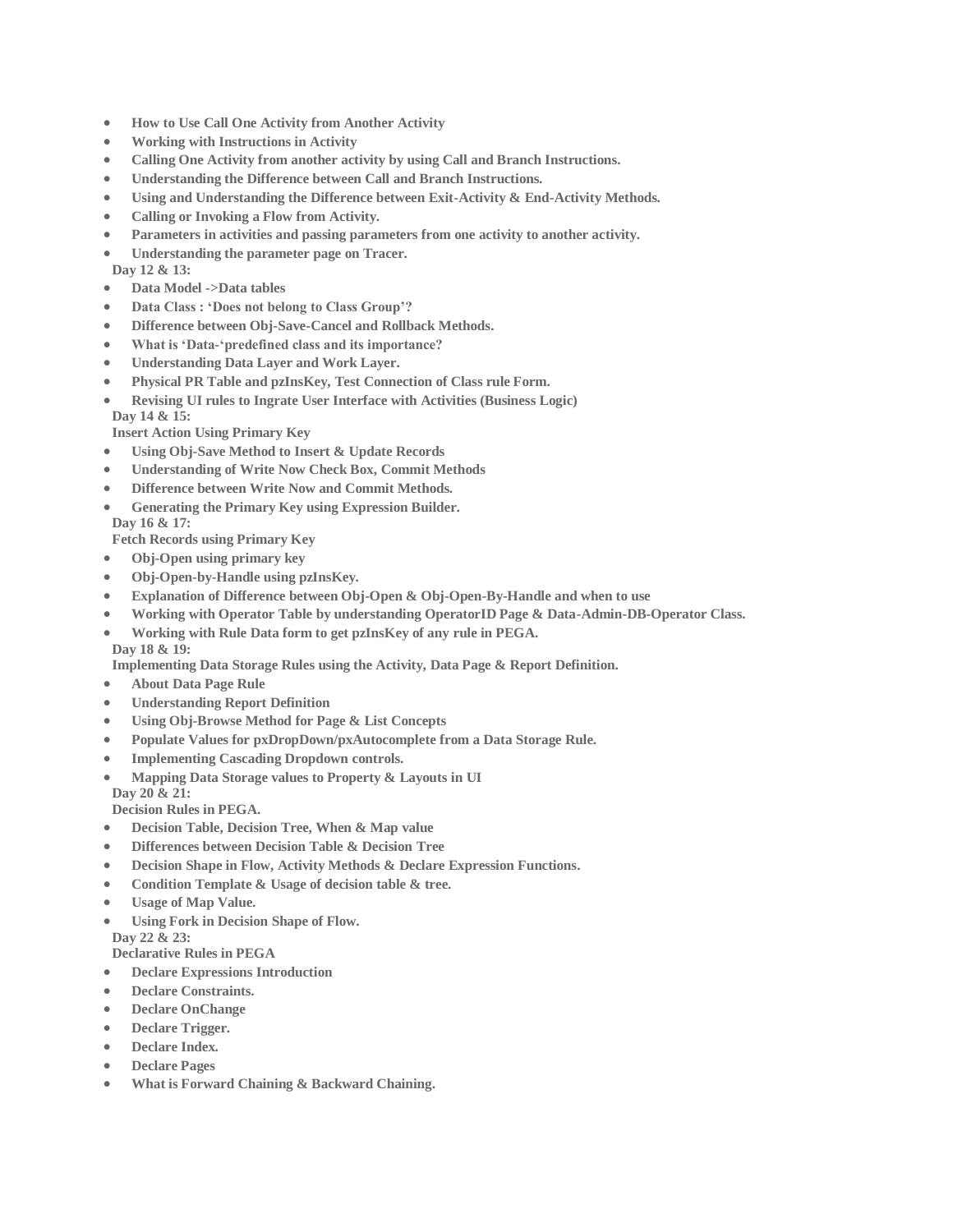- **How to Use Call One Activity from Another Activity**
- **Working with Instructions in Activity**
- **Calling One Activity from another activity by using Call and Branch Instructions.**
- **Understanding the Difference between Call and Branch Instructions.**
- **Using and Understanding the Difference between Exit-Activity & End-Activity Methods.**
- **Calling or Invoking a Flow from Activity.**
- **Parameters in activities and passing parameters from one activity to another activity.**
- **Understanding the parameter page on Tracer. Day 12 & 13:**
- **Data Model ->Data tables**
- **Data Class : 'Does not belong to Class Group'?**
- **Difference between Obj-Save-Cancel and Rollback Methods.**
- **What is 'Data-'predefined class and its importance?**
- **Understanding Data Layer and Work Layer.**
- **Physical PR Table and pzInsKey, Test Connection of Class rule Form.**
- **Revising UI rules to Ingrate User Interface with Activities (Business Logic)**

**Day 14 & 15:**

**Insert Action Using Primary Key**

- **Using Obj-Save Method to Insert & Update Records**
- **Understanding of Write Now Check Box, Commit Methods**
- **Difference between Write Now and Commit Methods.**
- **Generating the Primary Key using Expression Builder.**
- **Day 16 & 17:**

**Fetch Records using Primary Key**

- **Obj-Open using primary key**
- **Obj-Open-by-Handle using pzInsKey.**
- **Explanation of Difference between Obj-Open & Obj-Open-By-Handle and when to use**
- **Working with Operator Table by understanding OperatorID Page & Data-Admin-DB-Operator Class.**
- **Working with Rule Data form to get pzInsKey of any rule in PEGA. Day 18 & 19:**

**Implementing Data Storage Rules using the Activity, Data Page & Report Definition.**

- **About Data Page Rule**
- **Understanding Report Definition**
- **Using Obj-Browse Method for Page & List Concepts**
- **Populate Values for pxDropDown/pxAutocomplete from a Data Storage Rule.**
- **Implementing Cascading Dropdown controls.**
- **Mapping Data Storage values to Property & Layouts in UI Day 20 & 21:**

**Decision Rules in PEGA.**

- **Decision Table, Decision Tree, When & Map value**
- **Differences between Decision Table & Decision Tree**
- **Decision Shape in Flow, Activity Methods & Declare Expression Functions.**
- **Condition Template & Usage of decision table & tree.**
- **Usage of Map Value.**
- **Using Fork in Decision Shape of Flow.**

**Day 22 & 23:**

**Declarative Rules in PEGA**

- **Declare Expressions Introduction**
- **Declare Constraints.**
- **Declare OnChange**
- **Declare Trigger.**
- **Declare Index.**
- **Declare Pages**
- **What is Forward Chaining & Backward Chaining.**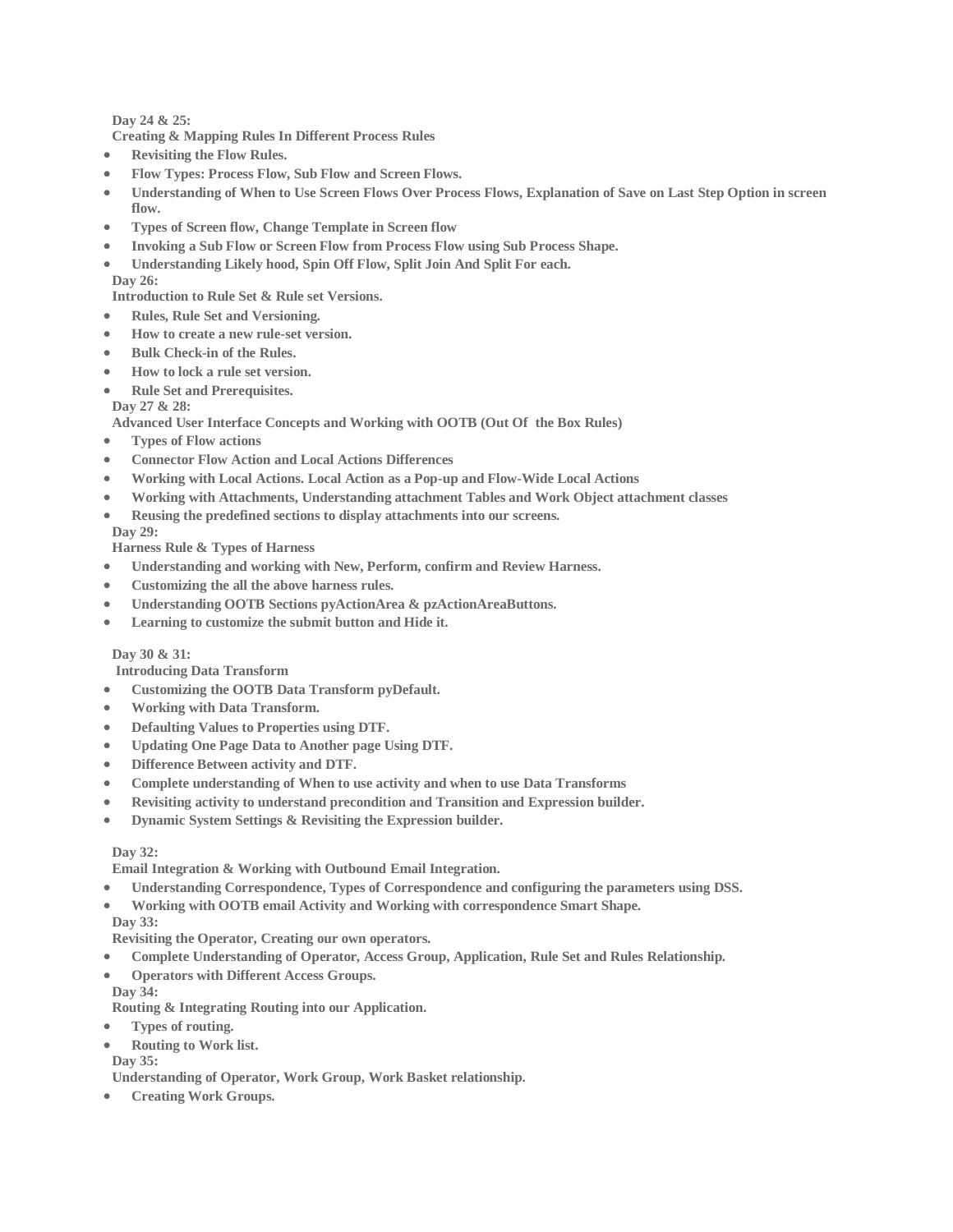**Day 24 & 25:**

**Creating & Mapping Rules In Different Process Rules**

- **Revisiting the Flow Rules.**
- **Flow Types: Process Flow, Sub Flow and Screen Flows.**
- **Understanding of When to Use Screen Flows Over Process Flows, Explanation of Save on Last Step Option in screen flow.**
- **Types of Screen flow, Change Template in Screen flow**
- **Invoking a Sub Flow or Screen Flow from Process Flow using Sub Process Shape.**
- **Understanding Likely hood, Spin Off Flow, Split Join And Split For each. Day 26:**

**Introduction to Rule Set & Rule set Versions.**

- **Rules, Rule Set and Versioning.**
- **How to create a new rule-set version.**
- **Bulk Check-in of the Rules.**
- **How to lock a rule set version.**
- **Rule Set and Prerequisites.**

**Day 27 & 28:**

**Advanced User Interface Concepts and Working with OOTB (Out Of the Box Rules)**

- **Types of Flow actions**
- **Connector Flow Action and Local Actions Differences**
- **Working with Local Actions. Local Action as a Pop-up and Flow-Wide Local Actions**
- **Working with Attachments, Understanding attachment Tables and Work Object attachment classes**
- **Reusing the predefined sections to display attachments into our screens.**

**Day 29:**

**Harness Rule & Types of Harness**

- **Understanding and working with New, Perform, confirm and Review Harness.**
- **Customizing the all the above harness rules.**
- **Understanding OOTB Sections pyActionArea & pzActionAreaButtons.**
- **Learning to customize the submit button and Hide it.**

## **Day 30 & 31:**

 **Introducing Data Transform**

- **Customizing the OOTB Data Transform pyDefault.**
- **Working with Data Transform.**
- **Defaulting Values to Properties using DTF.**
- **Updating One Page Data to Another page Using DTF.**
- **Difference Between activity and DTF.**
- **Complete understanding of When to use activity and when to use Data Transforms**
- **Revisiting activity to understand precondition and Transition and Expression builder.**
- **Dynamic System Settings & Revisiting the Expression builder.**

## **Day 32:**

**Email Integration & Working with Outbound Email Integration.**

- **Understanding Correspondence, Types of Correspondence and configuring the parameters using DSS.**
- **Working with OOTB email Activity and Working with correspondence Smart Shape.**

## **Day 33:**

**Revisiting the Operator, Creating our own operators.**

- **Complete Understanding of Operator, Access Group, Application, Rule Set and Rules Relationship.**
- **Operators with Different Access Groups. Day 34:**

**Routing & Integrating Routing into our Application.**

- **Types of routing.**
- **Routing to Work list.**

**Day 35:**

**Understanding of Operator, Work Group, Work Basket relationship.**

**Creating Work Groups.**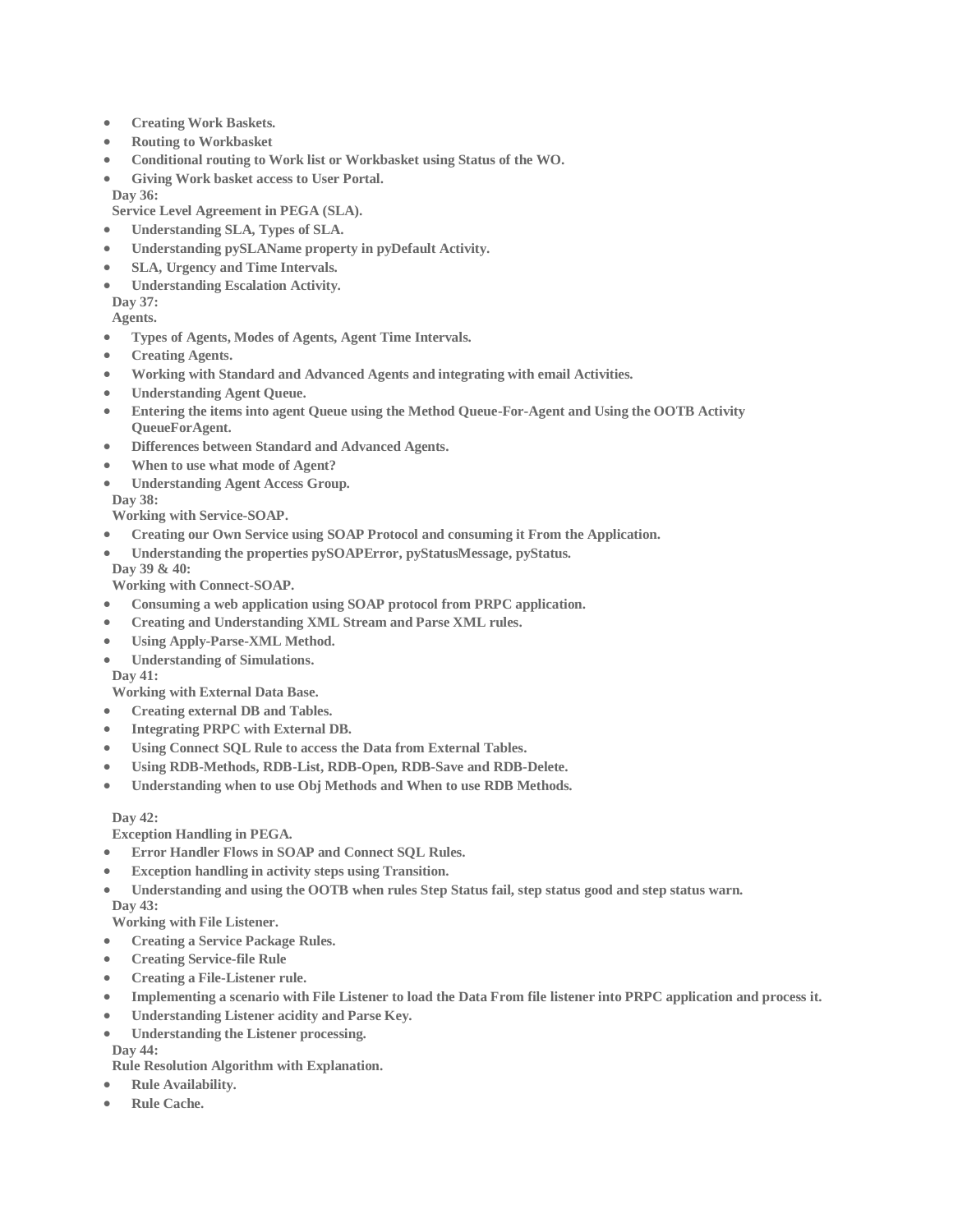- **Creating Work Baskets.**
- **Routing to Workbasket**
- **Conditional routing to Work list or Workbasket using Status of the WO.**
- **Giving Work basket access to User Portal.**
- **Day 36:**

**Service Level Agreement in PEGA (SLA).**

- **Understanding SLA, Types of SLA.**
- **Understanding pySLAName property in pyDefault Activity.**
- **SLA, Urgency and Time Intervals.**
- **Understanding Escalation Activity.**

**Day 37:**

**Agents.**

- **Types of Agents, Modes of Agents, Agent Time Intervals.**
- **Creating Agents.**
- **Working with Standard and Advanced Agents and integrating with email Activities.**
- **Understanding Agent Queue.**
- **Entering the items into agent Queue using the Method Queue-For-Agent and Using the OOTB Activity QueueForAgent.**
- **Differences between Standard and Advanced Agents.**
- **When to use what mode of Agent?**
- **Understanding Agent Access Group.**

**Day 38:**

**Working with Service-SOAP.**

- **Creating our Own Service using SOAP Protocol and consuming it From the Application.**
- **Understanding the properties pySOAPError, pyStatusMessage, pyStatus.**

**Day 39 & 40:**

**Working with Connect-SOAP.**

- **Consuming a web application using SOAP protocol from PRPC application.**
- **Creating and Understanding XML Stream and Parse XML rules.**
- **Using Apply-Parse-XML Method.**
- **Understanding of Simulations.**

**Day 41:**

**Working with External Data Base.**

- **Creating external DB and Tables.**
- **Integrating PRPC with External DB.**
- **Using Connect SQL Rule to access the Data from External Tables.**
- **Using RDB-Methods, RDB-List, RDB-Open, RDB-Save and RDB-Delete.**
- **Understanding when to use Obj Methods and When to use RDB Methods.**

**Day 42:**

**Exception Handling in PEGA.**

- **Error Handler Flows in SOAP and Connect SQL Rules.**
- **Exception handling in activity steps using Transition.**
- **Understanding and using the OOTB when rules Step Status fail, step status good and step status warn. Day 43:**

**Working with File Listener.**

- **Creating a Service Package Rules.**
- **Creating Service-file Rule**
- **Creating a File-Listener rule.**
- **Implementing a scenario with File Listener to load the Data From file listener into PRPC application and process it.**
- **Understanding Listener acidity and Parse Key.**
- **Understanding the Listener processing.**

**Day 44:**

**Rule Resolution Algorithm with Explanation.**

- **Rule Availability.**
- **Rule Cache.**